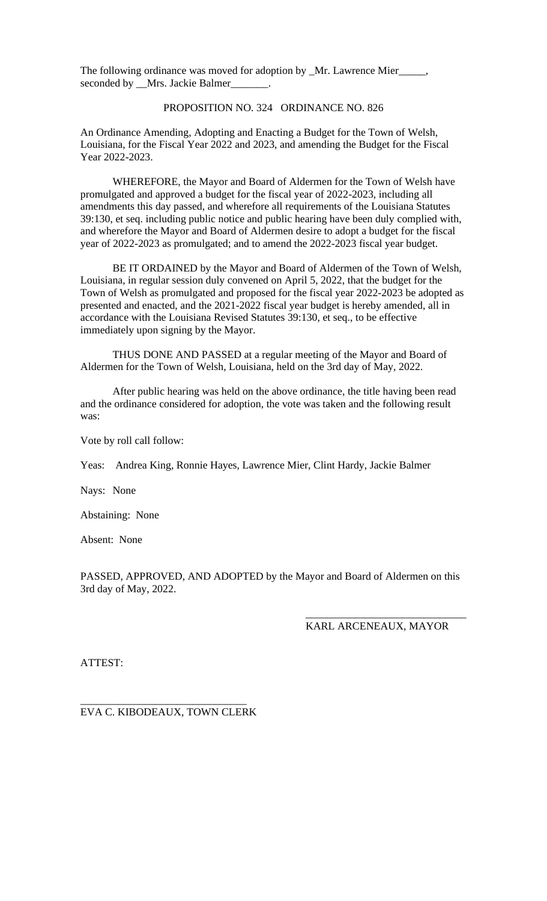The following ordinance was moved for adoption by \_Mr. Lawrence Mier\_\_\_\_ seconded by \_\_Mrs. Jackie Balmer\_\_\_\_\_\_\_.

## PROPOSITION NO. 324 ORDINANCE NO. 826

An Ordinance Amending, Adopting and Enacting a Budget for the Town of Welsh, Louisiana, for the Fiscal Year 2022 and 2023, and amending the Budget for the Fiscal Year 2022-2023.

WHEREFORE, the Mayor and Board of Aldermen for the Town of Welsh have promulgated and approved a budget for the fiscal year of 2022-2023, including all amendments this day passed, and wherefore all requirements of the Louisiana Statutes 39:130, et seq. including public notice and public hearing have been duly complied with, and wherefore the Mayor and Board of Aldermen desire to adopt a budget for the fiscal year of 2022-2023 as promulgated; and to amend the 2022-2023 fiscal year budget.

BE IT ORDAINED by the Mayor and Board of Aldermen of the Town of Welsh, Louisiana, in regular session duly convened on April 5, 2022, that the budget for the Town of Welsh as promulgated and proposed for the fiscal year 2022-2023 be adopted as presented and enacted, and the 2021-2022 fiscal year budget is hereby amended, all in accordance with the Louisiana Revised Statutes 39:130, et seq., to be effective immediately upon signing by the Mayor.

THUS DONE AND PASSED at a regular meeting of the Mayor and Board of Aldermen for the Town of Welsh, Louisiana, held on the 3rd day of May, 2022.

After public hearing was held on the above ordinance, the title having been read and the ordinance considered for adoption, the vote was taken and the following result was:

Vote by roll call follow:

Yeas: Andrea King, Ronnie Hayes, Lawrence Mier, Clint Hardy, Jackie Balmer

Nays: None

Abstaining: None

Absent: None

PASSED, APPROVED, AND ADOPTED by the Mayor and Board of Aldermen on this 3rd day of May, 2022.

## KARL ARCENEAUX, MAYOR

\_\_\_\_\_\_\_\_\_\_\_\_\_\_\_\_\_\_\_\_\_\_\_\_\_\_\_\_\_\_

ATTEST:

\_\_\_\_\_\_\_\_\_\_\_\_\_\_\_\_\_\_\_\_\_\_\_\_\_\_\_\_\_\_\_ EVA C. KIBODEAUX, TOWN CLERK